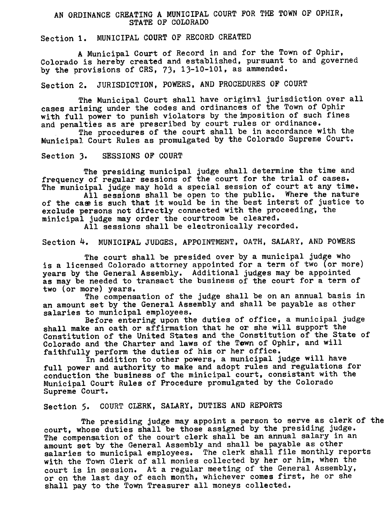## AN ORDINANCE CREATING A MUNICIPAL COURT FOR THE TOWN OF OPHIR, STATE OF COLORADO

## Section 1. MUNICIPAL COURT OF RECORD CREATED

A Municipal Court of Record in and for the Town of Ophir, Colorado is hereby created and established, pursuant to and governed by the provisions of CRS, 73, 13-10-101, as ammended.

Section 2. JURISDICTION, POWERS, AND PROCEDURES OF COURT

The Municipal Court shall have original jurisdiction over al cases arising under the codes and ordinances of the Town of Ophi with full power to punish violators by the imposition of such fines and penalties as are prescribed by court rules or ordinance.

The procedures of the court shall be in accordance with the Municipal Court Rules as promulgated by the Colorado Supreme Cour

Section 3. SESSIONS OF COURT

The presiding municipal judge shall determine the time and frequency of regular sessions of the court for the trial of case. The municipal judge may hold a special session of court at any time.

All sessions shall be open to the public. Where the nature of the case is such that it would be in the best interst of justice to exclude persons not directly connected with the proceeding, the minicipal judge may order the courtroom be cleared.

All sessions shall be electronically recorded.

Section 4. MUNICIPAL JUDGES, APPOINTMENT, OATH, SALARY, AND POWERS

The court shall be presided over by a municipal judge who is a licensed Colorado attorney appointed for a term of two (or more years by the General Assembly. Additional judges may be appoint as may be needed to transact the business of the court for a term of two (or more) years.

The compensation of the judge shall be on an annual basis in an amount set by the General Assembly and shall be payable as othe salaries to municipal employees.

Before entering upon the duties of office, a municipal judge shall make an oath or affirmation that he or she will support the Constitution of the United States and the Constitution of the State of Colorado and the Charter and laws of the Tewn of Ophir, and will faithfully perform the duties of his or her office.

In addition to other powers, a municipal judge will have full power and authority to make and adopt rules and regulations for conduction the business of the minicipal court, consistant with the Municipal Court Rules of Procedure promulgated by the Colorado Supreme Court.

Section 5. COURT CLERK, SALARY, DUTIES AND REPORTS

The presiding judge may appoint a person to serve as clerk of the court, whose duties shall be those assigned by the presiding judge. The compensation of the court clerk shall be an annual salary in an amount set by the General Assembly and shall be payable as other salaries to municipal employees. The clerk shall file monthly reports with the Town Clerk of all monies collected by her or him, when the court is in session. At a regular meeting of the General Assembly, or on the last day of each month, whichever comes first, he or she shall pay to the Town Treasurer all moneys collected.